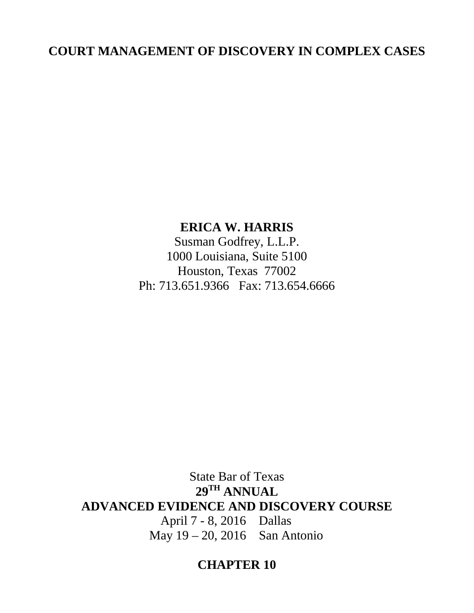# **COURT MANAGEMENT OF DISCOVERY IN COMPLEX CASES**

# **ERICA W. HARRIS**

Susman Godfrey, L.L.P. 1000 Louisiana, Suite 5100 Houston, Texas 77002 Ph: 713.651.9366 Fax: 713.654.6666

State Bar of Texas **29TH ANNUAL ADVANCED EVIDENCE AND DISCOVERY COURSE** April 7 - 8, 2016 Dallas May 19 – 20, 2016 San Antonio

# **CHAPTER 10**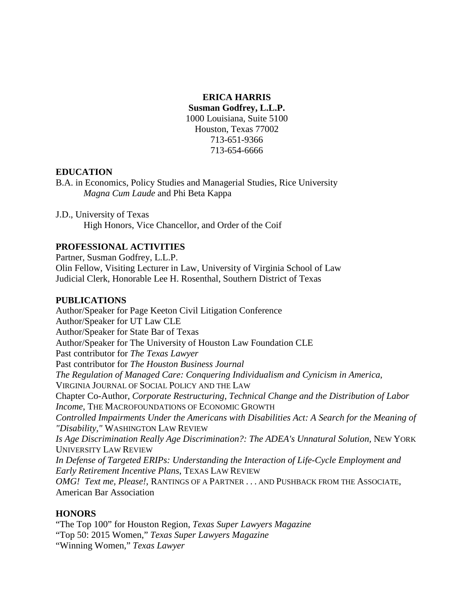# **ERICA HARRIS**

**Susman Godfrey, L.L.P.** 

1000 Louisiana, Suite 5100 Houston, Texas 77002 713-651-9366 713-654-6666

# **EDUCATION**

B.A. in Economics, Policy Studies and Managerial Studies, Rice University *Magna Cum Laude* and Phi Beta Kappa

J.D., University of Texas High Honors, Vice Chancellor, and Order of the Coif

# **PROFESSIONAL ACTIVITIES**

Partner, Susman Godfrey, L.L.P. Olin Fellow, Visiting Lecturer in Law, University of Virginia School of Law Judicial Clerk, Honorable Lee H. Rosenthal, Southern District of Texas

# **PUBLICATIONS**

Author/Speaker for Page Keeton Civil Litigation Conference Author/Speaker for UT Law CLE Author/Speaker for State Bar of Texas Author/Speaker for The University of Houston Law Foundation CLE Past contributor for *The Texas Lawyer* Past contributor for *The Houston Business Journal The Regulation of Managed Care: Conquering Individualism and Cynicism in America*, VIRGINIA JOURNAL OF SOCIAL POLICY AND THE LAW Chapter Co-Author, *Corporate Restructuring, Technical Change and the Distribution of Labor Income*, THE MACROFOUNDATIONS OF ECONOMIC GROWTH *Controlled Impairments Under the Americans with Disabilities Act: A Search for the Meaning of "Disability,"* WASHINGTON LAW REVIEW *Is Age Discrimination Really Age Discrimination?: The ADEA's Unnatural Solution,* NEW YORK UNIVERSITY LAW REVIEW *In Defense of Targeted ERIPs: Understanding the Interaction of Life-Cycle Employment and Early Retirement Incentive Plans*, TEXAS LAW REVIEW *OMG! Text me, Please!*, RANTINGS OF A PARTNER . . . AND PUSHBACK FROM THE ASSOCIATE, American Bar Association

# **HONORS**

"The Top 100" for Houston Region, *Texas Super Lawyers Magazine* "Top 50: 2015 Women," *Texas Super Lawyers Magazine* "Winning Women," *Texas Lawyer*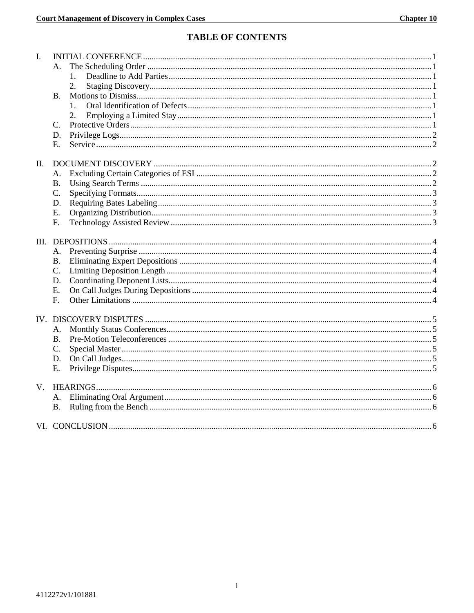# **TABLE OF CONTENTS**

| L.          |           |  |
|-------------|-----------|--|
|             | А.        |  |
|             | 1.        |  |
|             | 2.        |  |
|             | <b>B.</b> |  |
|             |           |  |
|             | 2.        |  |
|             | C.        |  |
|             | D.        |  |
|             | Ε.        |  |
| П.          |           |  |
|             | А.        |  |
|             | <b>B.</b> |  |
|             | C.        |  |
|             | D.        |  |
|             | E.        |  |
|             | F.        |  |
|             |           |  |
|             | А.        |  |
|             | <b>B.</b> |  |
|             | C.        |  |
|             | D.        |  |
|             | E.        |  |
|             | F.        |  |
|             |           |  |
|             |           |  |
|             | А.        |  |
|             | <b>B.</b> |  |
|             | C.        |  |
|             | D.        |  |
|             | E.        |  |
| $V_{\cdot}$ |           |  |
|             |           |  |
|             | <b>B.</b> |  |
|             |           |  |
|             |           |  |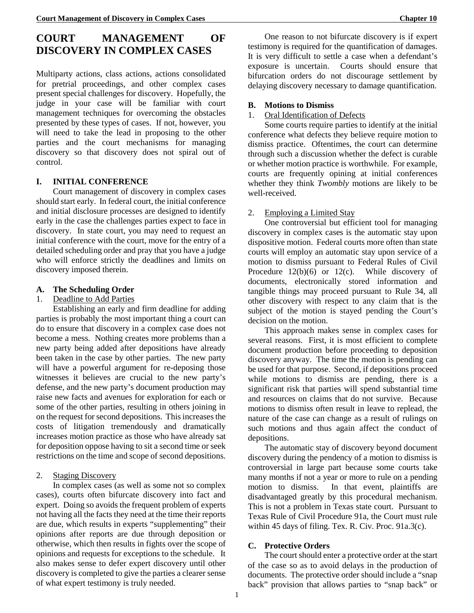# **COURT MANAGEMENT OF DISCOVERY IN COMPLEX CASES**

Multiparty actions, class actions, actions consolidated for pretrial proceedings, and other complex cases present special challenges for discovery. Hopefully, the judge in your case will be familiar with court management techniques for overcoming the obstacles presented by these types of cases. If not, however, you will need to take the lead in proposing to the other parties and the court mechanisms for managing discovery so that discovery does not spiral out of control.

## <span id="page-3-0"></span>**I. INITIAL CONFERENCE**

Court management of discovery in complex cases should start early. In federal court, the initial conference and initial disclosure processes are designed to identify early in the case the challenges parties expect to face in discovery. In state court, you may need to request an initial conference with the court, move for the entry of a detailed scheduling order and pray that you have a judge who will enforce strictly the deadlines and limits on discovery imposed therein.

## <span id="page-3-1"></span>**A. The Scheduling Order**

## <span id="page-3-2"></span>1. Deadline to Add Parties

Establishing an early and firm deadline for adding parties is probably the most important thing a court can do to ensure that discovery in a complex case does not become a mess. Nothing creates more problems than a new party being added after depositions have already been taken in the case by other parties. The new party will have a powerful argument for re-deposing those witnesses it believes are crucial to the new party's defense, and the new party's document production may raise new facts and avenues for exploration for each or some of the other parties, resulting in others joining in on the request for second depositions. This increases the costs of litigation tremendously and dramatically increases motion practice as those who have already sat for deposition oppose having to sit a second time or seek restrictions on the time and scope of second depositions.

## <span id="page-3-3"></span>2. Staging Discovery

In complex cases (as well as some not so complex cases), courts often bifurcate discovery into fact and expert. Doing so avoids the frequent problem of experts not having all the facts they need at the time their reports are due, which results in experts "supplementing" their opinions after reports are due through deposition or otherwise, which then results in fights over the scope of opinions and requests for exceptions to the schedule. It also makes sense to defer expert discovery until other discovery is completed to give the parties a clearer sense of what expert testimony is truly needed.

One reason to not bifurcate discovery is if expert testimony is required for the quantification of damages. It is very difficult to settle a case when a defendant's exposure is uncertain. Courts should ensure that bifurcation orders do not discourage settlement by delaying discovery necessary to damage quantification.

## <span id="page-3-4"></span>**B. Motions to Dismiss**

## <span id="page-3-5"></span>1. Oral Identification of Defects

Some courts require parties to identify at the initial conference what defects they believe require motion to dismiss practice. Oftentimes, the court can determine through such a discussion whether the defect is curable or whether motion practice is worthwhile. For example, courts are frequently opining at initial conferences whether they think *Twombly* motions are likely to be well-received.

## <span id="page-3-6"></span>2. Employing a Limited Stay

One controversial but efficient tool for managing discovery in complex cases is the automatic stay upon dispositive motion. Federal courts more often than state courts will employ an automatic stay upon service of a motion to dismiss pursuant to Federal Rules of Civil Procedure  $12(b)(6)$  or  $12(c)$ . While discovery of documents, electronically stored information and tangible things may proceed pursuant to Rule 34, all other discovery with respect to any claim that is the subject of the motion is stayed pending the Court's decision on the motion.

This approach makes sense in complex cases for several reasons. First, it is most efficient to complete document production before proceeding to deposition discovery anyway. The time the motion is pending can be used for that purpose. Second, if depositions proceed while motions to dismiss are pending, there is a significant risk that parties will spend substantial time and resources on claims that do not survive. Because motions to dismiss often result in leave to replead, the nature of the case can change as a result of rulings on such motions and thus again affect the conduct of depositions.

The automatic stay of discovery beyond document discovery during the pendency of a motion to dismiss is controversial in large part because some courts take many months if not a year or more to rule on a pending<br>motion to dismiss. In that event, plaintiffs are In that event, plaintiffs are disadvantaged greatly by this procedural mechanism. This is not a problem in Texas state court. Pursuant to Texas Rule of Civil Procedure 91a, the Court must rule within 45 days of filing. Tex. R. Civ. Proc. 91a.3(c).

# <span id="page-3-7"></span>**C. Protective Orders**

The court should enter a protective order at the start of the case so as to avoid delays in the production of documents. The protective order should include a "snap back" provision that allows parties to "snap back" or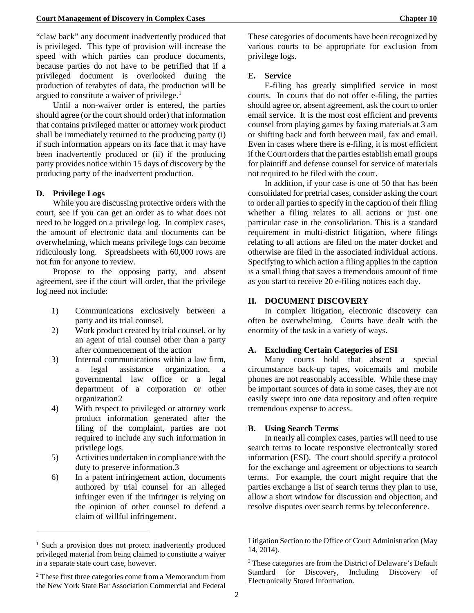"claw back" any document inadvertently produced that is privileged. This type of provision will increase the speed with which parties can produce documents, because parties do not have to be petrified that if a privileged document is overlooked during the production of terabytes of data, the production will be argued to constitute a waiver of privilege.<sup>[1](#page-4-5)</sup>

Until a non-waiver order is entered, the parties should agree (or the court should order) that information that contains privileged matter or attorney work product shall be immediately returned to the producing party (i) if such information appears on its face that it may have been inadvertently produced or (ii) if the producing party provides notice within 15 days of discovery by the producing party of the inadvertent production.

## <span id="page-4-0"></span>**D. Privilege Logs**

While you are discussing protective orders with the court, see if you can get an order as to what does not need to be logged on a privilege log. In complex cases, the amount of electronic data and documents can be overwhelming, which means privilege logs can become ridiculously long. Spreadsheets with 60,000 rows are not fun for anyone to review.

Propose to the opposing party, and absent agreement, see if the court will order, that the privilege log need not include:

- 1) Communications exclusively between a party and its trial counsel.
- 2) Work product created by trial counsel, or by an agent of trial counsel other than a party after commencement of the action
- 3) Internal communications within a law firm, a legal assistance organization, a governmental law office or a legal department of a corporation or other organization[2](#page-4-6)
- 4) With respect to privileged or attorney work product information generated after the filing of the complaint, parties are not required to include any such information in privilege logs.
- 5) Activities undertaken in compliance with the duty to preserve information.[3](#page-4-7)
- 6) In a patent infringement action, documents authored by trial counsel for an alleged infringer even if the infringer is relying on the opinion of other counsel to defend a claim of willful infringement.

-

These categories of documents have been recognized by various courts to be appropriate for exclusion from privilege logs.

#### <span id="page-4-1"></span>**E. Service**

E-filing has greatly simplified service in most courts. In courts that do not offer e-filing, the parties should agree or, absent agreement, ask the court to order email service. It is the most cost efficient and prevents counsel from playing games by faxing materials at 3 am or shifting back and forth between mail, fax and email. Even in cases where there is e-filing, it is most efficient if the Court orders that the parties establish email groups for plaintiff and defense counsel for service of materials not required to be filed with the court.

In addition, if your case is one of 50 that has been consolidated for pretrial cases, consider asking the court to order all parties to specify in the caption of their filing whether a filing relates to all actions or just one particular case in the consolidation. This is a standard requirement in multi-district litigation, where filings relating to all actions are filed on the mater docket and otherwise are filed in the associated individual actions. Specifying to which action a filing applies in the caption is a small thing that saves a tremendous amount of time as you start to receive 20 e-filing notices each day.

#### <span id="page-4-2"></span>**II. DOCUMENT DISCOVERY**

In complex litigation, electronic discovery can often be overwhelming. Courts have dealt with the enormity of the task in a variety of ways.

## <span id="page-4-3"></span>**A. Excluding Certain Categories of ESI**

Many courts hold that absent a special circumstance back-up tapes, voicemails and mobile phones are not reasonably accessible. While these may be important sources of data in some cases, they are not easily swept into one data repository and often require tremendous expense to access.

#### <span id="page-4-4"></span>**B. Using Search Terms**

In nearly all complex cases, parties will need to use search terms to locate responsive electronically stored information (ESI). The court should specify a protocol for the exchange and agreement or objections to search terms. For example, the court might require that the parties exchange a list of search terms they plan to use, allow a short window for discussion and objection, and resolve disputes over search terms by teleconference.

<span id="page-4-5"></span><sup>&</sup>lt;sup>1</sup> Such a provision does not protect inadvertently produced privileged material from being claimed to constiutte a waiver in a separate state court case, however.

<span id="page-4-7"></span><span id="page-4-6"></span><sup>2</sup> These first three categories come from a Memorandum from the New York State Bar Association Commercial and Federal

Litigation Section to the Office of Court Administration (May 14, 2014).

<sup>&</sup>lt;sup>3</sup> These categories are from the District of Delaware's Default Standard for Discovery, Including Discovery of Electronically Stored Information.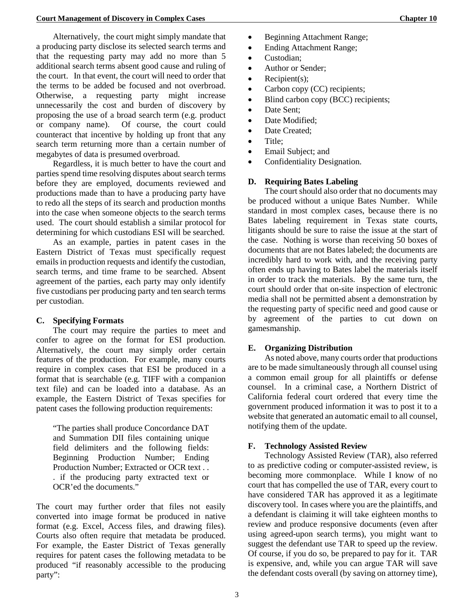Alternatively, the court might simply mandate that a producing party disclose its selected search terms and that the requesting party may add no more than 5 additional search terms absent good cause and ruling of the court. In that event, the court will need to order that the terms to be added be focused and not overbroad. Otherwise, a requesting party might increase unnecessarily the cost and burden of discovery by proposing the use of a broad search term (e.g. product or company name). Of course, the court could counteract that incentive by holding up front that any search term returning more than a certain number of megabytes of data is presumed overbroad.

Regardless, it is much better to have the court and parties spend time resolving disputes about search terms before they are employed, documents reviewed and productions made than to have a producing party have to redo all the steps of its search and production months into the case when someone objects to the search terms used. The court should establish a similar protocol for determining for which custodians ESI will be searched.

As an example, parties in patent cases in the Eastern District of Texas must specifically request emails in production requests and identify the custodian, search terms, and time frame to be searched. Absent agreement of the parties, each party may only identify five custodians per producing party and ten search terms per custodian.

#### <span id="page-5-0"></span>**C. Specifying Formats**

The court may require the parties to meet and confer to agree on the format for ESI production. Alternatively, the court may simply order certain features of the production. For example, many courts require in complex cases that ESI be produced in a format that is searchable (e.g. TIFF with a companion text file) and can be loaded into a database. As an example, the Eastern District of Texas specifies for patent cases the following production requirements:

"The parties shall produce Concordance DAT and Summation DII files containing unique field delimiters and the following fields: Beginning Production Number; Ending Production Number; Extracted or OCR text . . . if the producing party extracted text or OCR'ed the documents."

The court may further order that files not easily converted into image format be produced in native format (e.g. Excel, Access files, and drawing files). Courts also often require that metadata be produced. For example, the Easter District of Texas generally requires for patent cases the following metadata to be produced "if reasonably accessible to the producing party":

- Beginning Attachment Range;
- Ending Attachment Range;
- Custodian;
- Author or Sender;
- Recipient $(s)$ ;
- Carbon copy (CC) recipients;
- Blind carbon copy (BCC) recipients;
- Date Sent:
- Date Modified:
- Date Created:
- Title;
- Email Subject; and
- Confidentiality Designation.

#### <span id="page-5-1"></span>**D. Requiring Bates Labeling**

The court should also order that no documents may be produced without a unique Bates Number. While standard in most complex cases, because there is no Bates labeling requirement in Texas state courts, litigants should be sure to raise the issue at the start of the case. Nothing is worse than receiving 50 boxes of documents that are not Bates labeled; the documents are incredibly hard to work with, and the receiving party often ends up having to Bates label the materials itself in order to track the materials. By the same turn, the court should order that on-site inspection of electronic media shall not be permitted absent a demonstration by the requesting party of specific need and good cause or by agreement of the parties to cut down on gamesmanship.

#### <span id="page-5-2"></span>**E. Organizing Distribution**

As noted above, many courts order that productions are to be made simultaneously through all counsel using a common email group for all plaintiffs or defense counsel. In a criminal case, a Northern District of California federal court ordered that every time the government produced information it was to post it to a website that generated an automatic email to all counsel, notifying them of the update.

#### <span id="page-5-3"></span>**F. Technology Assisted Review**

Technology Assisted Review (TAR), also referred to as predictive coding or computer-assisted review, is becoming more commonplace. While I know of no court that has compelled the use of TAR, every court to have considered TAR has approved it as a legitimate discovery tool. In cases where you are the plaintiffs, and a defendant is claiming it will take eighteen months to review and produce responsive documents (even after using agreed-upon search terms), you might want to suggest the defendant use TAR to speed up the review. Of course, if you do so, be prepared to pay for it. TAR is expensive, and, while you can argue TAR will save the defendant costs overall (by saving on attorney time),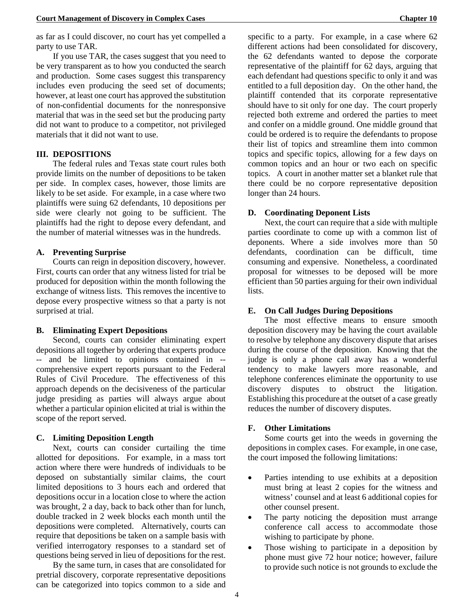as far as I could discover, no court has yet compelled a party to use TAR.

If you use TAR, the cases suggest that you need to be very transparent as to how you conducted the search and production. Some cases suggest this transparency includes even producing the seed set of documents; however, at least one court has approved the substitution of non-confidential documents for the nonresponsive material that was in the seed set but the producing party did not want to produce to a competitor, not privileged materials that it did not want to use.

#### <span id="page-6-0"></span>**III. DEPOSITIONS**

The federal rules and Texas state court rules both provide limits on the number of depositions to be taken per side. In complex cases, however, those limits are likely to be set aside. For example, in a case where two plaintiffs were suing 62 defendants, 10 depositions per side were clearly not going to be sufficient. The plaintiffs had the right to depose every defendant, and the number of material witnesses was in the hundreds.

#### <span id="page-6-1"></span>**A. Preventing Surprise**

Courts can reign in deposition discovery, however. First, courts can order that any witness listed for trial be produced for deposition within the month following the exchange of witness lists. This removes the incentive to depose every prospective witness so that a party is not surprised at trial.

## <span id="page-6-2"></span>**B. Eliminating Expert Depositions**

Second, courts can consider eliminating expert depositions all together by ordering that experts produce -- and be limited to opinions contained in - comprehensive expert reports pursuant to the Federal Rules of Civil Procedure. The effectiveness of this approach depends on the decisiveness of the particular judge presiding as parties will always argue about whether a particular opinion elicited at trial is within the scope of the report served.

#### <span id="page-6-3"></span>**C. Limiting Deposition Length**

Next, courts can consider curtailing the time allotted for depositions. For example, in a mass tort action where there were hundreds of individuals to be deposed on substantially similar claims, the court limited depositions to 3 hours each and ordered that depositions occur in a location close to where the action was brought, 2 a day, back to back other than for lunch, double tracked in 2 week blocks each month until the depositions were completed. Alternatively, courts can require that depositions be taken on a sample basis with verified interrogatory responses to a standard set of questions being served in lieu of depositions for the rest.

By the same turn, in cases that are consolidated for pretrial discovery, corporate representative depositions can be categorized into topics common to a side and

specific to a party. For example, in a case where 62 different actions had been consolidated for discovery, the 62 defendants wanted to depose the corporate representative of the plaintiff for 62 days, arguing that each defendant had questions specific to only it and was entitled to a full deposition day. On the other hand, the plaintiff contended that its corporate representative should have to sit only for one day. The court properly rejected both extreme and ordered the parties to meet and confer on a middle ground. One middle ground that could be ordered is to require the defendants to propose their list of topics and streamline them into common topics and specific topics, allowing for a few days on common topics and an hour or two each on specific topics. A court in another matter set a blanket rule that there could be no corpore representative deposition longer than 24 hours.

#### <span id="page-6-4"></span>**D. Coordinating Deponent Lists**

Next, the court can require that a side with multiple parties coordinate to come up with a common list of deponents. Where a side involves more than 50 defendants, coordination can be difficult, time consuming and expensive. Nonetheless, a coordinated proposal for witnesses to be deposed will be more efficient than 50 parties arguing for their own individual lists.

#### <span id="page-6-5"></span>**E. On Call Judges During Depositions**

The most effective means to ensure smooth deposition discovery may be having the court available to resolve by telephone any discovery dispute that arises during the course of the deposition. Knowing that the judge is only a phone call away has a wonderful tendency to make lawyers more reasonable, and telephone conferences eliminate the opportunity to use discovery disputes to obstruct the litigation. Establishing this procedure at the outset of a case greatly reduces the number of discovery disputes.

#### <span id="page-6-6"></span>**F. Other Limitations**

Some courts get into the weeds in governing the depositions in complex cases. For example, in one case, the court imposed the following limitations:

- Parties intending to use exhibits at a deposition must bring at least 2 copies for the witness and witness' counsel and at least 6 additional copies for other counsel present.
- The party noticing the deposition must arrange conference call access to accommodate those wishing to participate by phone.
- Those wishing to participate in a deposition by phone must give 72 hour notice; however, failure to provide such notice is not grounds to exclude the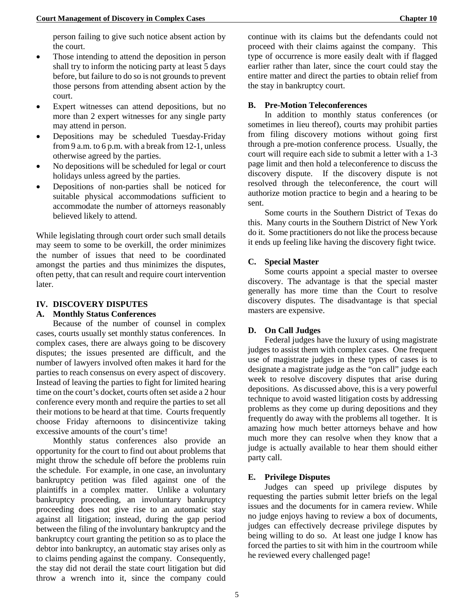person failing to give such notice absent action by the court.

- Those intending to attend the deposition in person shall try to inform the noticing party at least 5 days before, but failure to do so is not grounds to prevent those persons from attending absent action by the court.
- Expert witnesses can attend depositions, but no more than 2 expert witnesses for any single party may attend in person.
- Depositions may be scheduled Tuesday-Friday from 9 a.m. to 6 p.m. with a break from 12-1, unless otherwise agreed by the parties.
- No depositions will be scheduled for legal or court holidays unless agreed by the parties.
- Depositions of non-parties shall be noticed for suitable physical accommodations sufficient to accommodate the number of attorneys reasonably believed likely to attend.

While legislating through court order such small details may seem to some to be overkill, the order minimizes the number of issues that need to be coordinated amongst the parties and thus minimizes the disputes, often petty, that can result and require court intervention later.

#### <span id="page-7-0"></span>**IV. DISCOVERY DISPUTES**

#### <span id="page-7-1"></span>**A. Monthly Status Conferences**

Because of the number of counsel in complex cases, courts usually set monthly status conferences. In complex cases, there are always going to be discovery disputes; the issues presented are difficult, and the number of lawyers involved often makes it hard for the parties to reach consensus on every aspect of discovery. Instead of leaving the parties to fight for limited hearing time on the court's docket, courts often set aside a 2 hour conference every month and require the parties to set all their motions to be heard at that time. Courts frequently choose Friday afternoons to disincentivize taking excessive amounts of the court's time!

Monthly status conferences also provide an opportunity for the court to find out about problems that might throw the schedule off before the problems ruin the schedule. For example, in one case, an involuntary bankruptcy petition was filed against one of the plaintiffs in a complex matter. Unlike a voluntary bankruptcy proceeding, an involuntary bankruptcy proceeding does not give rise to an automatic stay against all litigation; instead, during the gap period between the filing of the involuntary bankruptcy and the bankruptcy court granting the petition so as to place the debtor into bankruptcy, an automatic stay arises only as to claims pending against the company. Consequently, the stay did not derail the state court litigation but did throw a wrench into it, since the company could

continue with its claims but the defendants could not proceed with their claims against the company. This type of occurrence is more easily dealt with if flagged earlier rather than later, since the court could stay the entire matter and direct the parties to obtain relief from the stay in bankruptcy court.

#### <span id="page-7-2"></span>**B. Pre-Motion Teleconferences**

In addition to monthly status conferences (or sometimes in lieu thereof), courts may prohibit parties from filing discovery motions without going first through a pre-motion conference process. Usually, the court will require each side to submit a letter with a 1-3 page limit and then hold a teleconference to discuss the discovery dispute. If the discovery dispute is not resolved through the teleconference, the court will authorize motion practice to begin and a hearing to be sent.

Some courts in the Southern District of Texas do this. Many courts in the Southern District of New York do it. Some practitioners do not like the process because it ends up feeling like having the discovery fight twice.

#### <span id="page-7-3"></span>**C. Special Master**

Some courts appoint a special master to oversee discovery. The advantage is that the special master generally has more time than the Court to resolve discovery disputes. The disadvantage is that special masters are expensive.

## <span id="page-7-4"></span>**D. On Call Judges**

Federal judges have the luxury of using magistrate judges to assist them with complex cases. One frequent use of magistrate judges in these types of cases is to designate a magistrate judge as the "on call" judge each week to resolve discovery disputes that arise during depositions. As discussed above, this is a very powerful technique to avoid wasted litigation costs by addressing problems as they come up during depositions and they frequently do away with the problems all together. It is amazing how much better attorneys behave and how much more they can resolve when they know that a judge is actually available to hear them should either party call.

#### <span id="page-7-5"></span>**E. Privilege Disputes**

Judges can speed up privilege disputes by requesting the parties submit letter briefs on the legal issues and the documents for in camera review. While no judge enjoys having to review a box of documents, judges can effectively decrease privilege disputes by being willing to do so. At least one judge I know has forced the parties to sit with him in the courtroom while he reviewed every challenged page!